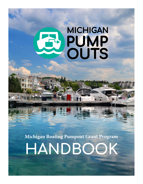# **MICHIGAN PUMP**<br>OUTS

**Michigan Boating Pumpout Grant Program**

## **HANDBOOK**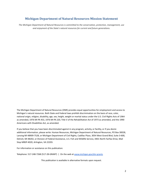#### **Michigan Department of Natural Resources Mission Statement**

*The Michigan Department of Natural Resources is committed to the conservation, protection, management, use and enjoyment of the State's natural resources for current and future generations.*

The Michigan Department of Natural Resources (DNR) provides equal opportunities for employment and access to Michigan's natural resources. Both State and Federal laws prohibit discrimination on the basis of race, color, national origin, religion, disability, age, sex, height, weight or marital status under the U.S. Civil Rights Acts of 1964 as amended, 1976 MI PA 453, 1976 MI PA 220, Title V of the Rehabilitation Act of 1973 as amended, and the 1990 Americans with Disabilities Act, as amended.

If you believe that you have been discriminated against in any program, activity, or facility, or if you desire additional information, please write: Human Resources, Michigan Department of Natural Resources, PO Box 30028, Lansing MI 48909-7528, or Michigan Department of Civil Rights, Cadillac Place, 3054 West Grand Blvd, Suite 3-600, Detroit, MI 48202, or Division of Federal Assistance, U.S. Fish and Wildlife Service, 4401 North Fairfax Drive, Mail Stop MBSP-4020, Arlington, VA 22203.

For information or assistance on this publication:

Telephone: 517-248-7268 (517-28-GRANT) | On the web at [www.michigan.gov/dnr-grants](http://www.michigan.gov/dnr-grants)

This publication is available in alternative formats upon request.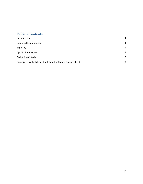### **Table of Contents**

| Introduction                                                | 4 |
|-------------------------------------------------------------|---|
| Program Requirements                                        | 4 |
| Eligibility                                                 | 5 |
| <b>Application Process</b>                                  | 6 |
| <b>Evaluation Criteria</b>                                  | 7 |
| Example: How to Fill Out the Estimated Project Budget Sheet | 8 |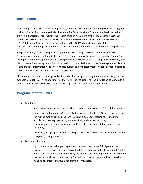#### <span id="page-3-0"></span>**Introduction**

Public and private marinas have the opportunity to secure new pumpout and dump stations or upgrade their existing facilities thanks to the Michigan Boating Pumpout Grant Program, a federally subsidized, grant-in-aid program. This program was created through enactment of the Federal Clean Vessel Act (Public Law 102-587, Subtitle F) of 1992, and is administered by the U.S. Fish and Wildlife Service (USFWS) through state agencies. The act authorized the USFWS to make grants to states to construct/renovate pumpouts and dump stations and for implementing associated education programs.

The grant funding for the Michigan Boating Pumpout Grant Program comes from the Sport Fish Restoration account of the Aquatic Resources Trust Fund, commonly known as the Wallop-Breaux Fund. In conjunction with the grant program, participating coastal states conduct a comprehensive survey and plan to determine existing capabilities of recreational boating facilities for marina sewage waste disposal. It also provides information needed to evaluate current and projected market needs in order to upgrade and expand availability of pumpouts and dump stations.

All pumpouts and dump stations provided for under the Michigan Boating Pumpout Grant Program are available for public use. A list of all marinas that have received grants for the installation of pumpouts or dump stations is available by contacting the Michigan Department of Natural Resources.

#### <span id="page-3-1"></span>**Program Requirements**

- Grant limits
	- o Varies by scope of project. Total available funding is approximately \$200,000 annually.
	- $\circ$  Grants are funded up to 75% of the eligible project cost with a 25% match provided by the marina. Grants can be used for the cost of a pumpout, holding tank, and minor installation costs (e.g., plumbing and electrical), and for maintenance, education/outreach, and any other eligible activities. See more details below under "Eligibility."
	- $\circ$  Any facility accepting grants must make pumpouts available to the public at a maximum charge of \$5 per pumpout.
- Match requirements
	- $\circ$  Upon federal approval, a grant agreement between the state of Michigan and the marina will be signed, reflecting 75% of the total costs provided by the pumpout grant and 25% of remaining costs provided by the marina. The matching funds provided by the marina can be either through cash or "in-kind" services such as labor. In-kind services must be documented through, for example, timesheets.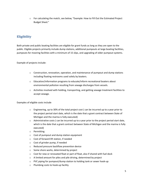o For calculating the match, see below, "Example: How to Fill Out the Estimated Project Budget Sheet."

#### <span id="page-4-0"></span>**Eligibility**

Both private and public boating facilities are eligible for grant funds as long as they are open to the public. Eligible projects primarily include dump stations, additional pumpouts at large boating facilities, pumpouts for mooring facilities with a minimum of 15 slips, and upgrading of older pumpout systems.

Example of projects include:

- $\circ$  Construction, renovation, operation, and maintenance of pumpout and dump stations including floating restrooms used solely by boaters.
- $\circ$  Education/information programs to educate/inform recreational boaters about environmental pollution resulting from sewage discharges from vessels.
- $\circ$  Activities involved with holding, transporting, and getting sewage treatment facilities to accept sewage.

Examples of eligible costs include

- $\circ$  Engineering, up to 30% of the total project cost (can be incurred up to a year prior to the project period start date, which is the date that a grant contract between State of Michigan and the marina is fully executed)
- $\circ$  Administrative costs (can be incurred up to a year prior to the project period start date, which is the date that a grant contract between State of Michigan and the marina is fully executed)
- o Permitting
- o Cost of pumpout and dump station equipment
- o Cost of forward lift station, if needed
- o Cost of grinder pump, if needed
- o Reduced pressure backflow prevention device
- o Some shore works, determined by project
- $\circ$  Cost for new or renovated float or part of float, also if shared with fuel dock
- o A limited amount for piles and pile driving, determined by project
- o PVC piping for pumpout/dump station to holding tank or sewer hook-up
- o Plumbing costs to hook-up facility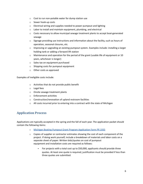- o Cost to run non-potable water for dump station use
- o Sewer hook-up costs
- o Electrical wiring and supplies needed to power pumpout and lighting
- o Labor to install and maintain equipment, plumbing, and electrical
- $\circ$  Costs necessary to allow municipal sewage treatment plants to accept boat-generated sewage
- $\circ$  Signage providing use instructions and information about the facility, such as hours of operation, seasonal closures, etc.
- $\circ$  Improving or upgrading an existing pumpout system. Examples include: installing a larger holding tank or adding a forward lift station
- $\circ$  Maintenance and operation for the period of the grant (usable life of equipment or 10 years, whichever is longer)
- o Sales tax on equipment purchased
- o Shipping costs for pumpout equipment
- o Other costs as approved

Examples of ineligible costs include:

- o Activities that do not provide public benefit
- o Legal fees
- o Onsite sewage treatment plants
- o Enforcement activities
- o Construction/renovation of upland restroom facilities
- o All costs incurred prior to entering into a contract with the state of Michigan

#### <span id="page-5-0"></span>**Application Process**

Applications are typically accepted in the spring and the fall of each year. The application packet should contain the following items:

- o Michigan Boating Pumpout Grant Program [Application](https://www.michiganseagrant.org/michiganpumpouts/marina-operators/) Form PR 1935
- $\circ$  Copies of supplier or contractor estimates showing the cost of each component of the project. If doing work yourself, include a breakdown of materials and labor costs on a separate sheet of paper. Written bids/quotes on cost of pumpout equipment and installation costs are required as follows:
	- For projects with a total cost up to \$50,000, applicants should provide three quotes. At least one quote is required; justification must be provided if less than three quotes are submitted.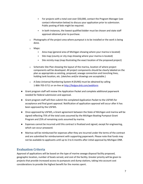- For projects with a total cost over \$50,000, contact the Program Manager (see contact information below) to discuss your application prior to submission. Public posting of bids might be required.
- In both instances, the lowest qualified bidder must be chosen and state staff approval obtained prior to purchase.
- $\circ$  Photographs of the project area where pumpout is to be installed or the work is being done.
- o Maps:
	- Area map (general area of Michigan showing where your marina is located)
	- Site map (county or city map showing where your marina is located)
	- Site vicinity map (map illustrating the exact location of the proposed project)
- $\circ$  Schematic Site Plan showing the layout of the marina, location of where project components will be developed. All project components should be clearly labeled on the plan as appropriate as existing, proposed, sewage connection and trenching lines, holding tank location, etc. (sketches and/or drawings are acceptable.)
- o A Data Universal Numbering System # (DUNS) must be obtained by calling 1-866-705-5711 or on-line at <http://fedgov.dnb.com/webform>
- Grant program staff will review the Application Packet and complete additional paperwork needed for federal submission and approval.
- Grant program staff will then submit the completed Application Packet to the USFWS for acceptance and final grant approval. Notification of application approval will occur after it has been approved by the USFWS.
- Once approved by USFWS, a Grant agreement between the State of Michigan and marina will be signed reflecting 75% of the total costs assumed by the Michigan Boating Pumpout Grant Program and 25% of remaining costs assumed by marina.
- Expenses cannot be incurred until this contract is finalized and signed, except for engineering, which can occur preaward.
- Marinas will be reimbursed for expenses after they are incurred under the terms of the contract and are submitted for reimbursement with supporting paperwork. Please note that funds may not be available to applicants until up to 3 to 6 months after initial approval by Michigan DNR.

#### <span id="page-6-0"></span>**Evaluation Criteria**

Approval of applications will be based on the type of marine sewage disposal facility proposed, geographic location, number of boats served, and cost of the facility. Greater priority will be given to projects that provide increased access to pumpouts and dump stations, taking into account cost considerations to provide the highest benefit for the monies spent.